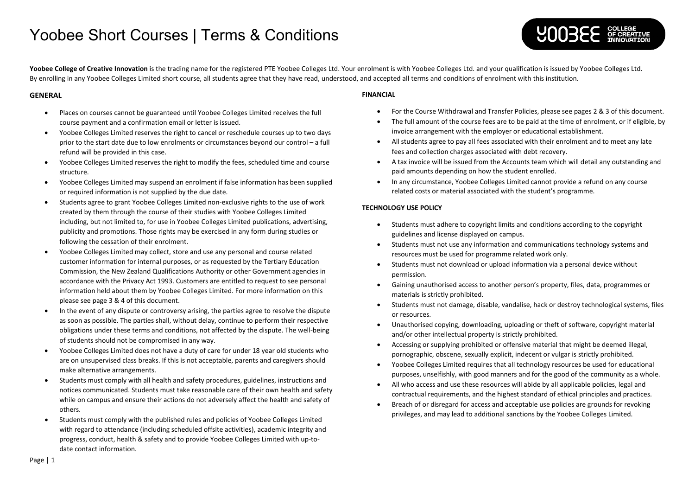

Yoobee College of Creative Innovation is the trading name for the registered PTE Yoobee Colleges Ltd. Your enrolment is with Yoobee Colleges Ltd. and your qualification is issued by Yoobee Colleges Ltd. By enrolling in any Yoobee Colleges Limited short course, all students agree that they have read, understood, and accepted all terms and conditions of enrolment with this institution.

### **GENERAL**

- Places on courses cannot be guaranteed until Yoobee Colleges Limited receives the full course payment and a confirmation email or letter is issued.
- Yoobee Colleges Limited reserves the right to cancel or reschedule courses up to two days prior to the start date due to low enrolments or circumstances beyond our control – a full refund will be provided in this case.
- Yoobee Colleges Limited reserves the right to modify the fees, scheduled time and course structure.
- Yoobee Colleges Limited may suspend an enrolment if false information has been supplied or required information is not supplied by the due date.
- Students agree to grant Yoobee Colleges Limited non-exclusive rights to the use of work created by them through the course of their studies with Yoobee Colleges Limited including, but not limited to, for use in Yoobee Colleges Limited publications, advertising, publicity and promotions. Those rights may be exercised in any form during studies or following the cessation of their enrolment.
- Yoobee Colleges Limited may collect, store and use any personal and course related customer information for internal purposes, or as requested by the Tertiary Education Commission, the New Zealand Qualifications Authority or other Government agencies in accordance with the Privacy Act 1993. Customers are entitled to request to see personal information held about them by Yoobee Colleges Limited. For more information on this please see page 3 & 4 of this document.
- In the event of any dispute or controversy arising, the parties agree to resolve the dispute as soon as possible. The parties shall, without delay, continue to perform their respective obligations under these terms and conditions, not affected by the dispute. The well-being of students should not be compromised in any way.
- Yoobee Colleges Limited does not have a duty of care for under 18 year old students who are on unsupervised class breaks. If this is not acceptable, parents and caregivers should make alternative arrangements.
- Students must comply with all health and safety procedures, guidelines, instructions and notices communicated. Students must take reasonable care of their own health and safety while on campus and ensure their actions do not adversely affect the health and safety of others.
- Students must comply with the published rules and policies of Yoobee Colleges Limited with regard to attendance (including scheduled offsite activities), academic integrity and progress, conduct, health & safety and to provide Yoobee Colleges Limited with up-todate contact information.

### **FINANCIAL**

- For the Course Withdrawal and Transfer Policies, please see pages 2 & 3 of this document.
- The full amount of the course fees are to be paid at the time of enrolment, or if eligible, by invoice arrangement with the employer or educational establishment.
- All students agree to pay all fees associated with their enrolment and to meet any late fees and collection charges associated with debt recovery.
- A tax invoice will be issued from the Accounts team which will detail any outstanding and paid amounts depending on how the student enrolled.
- In any circumstance, Yoobee Colleges Limited cannot provide a refund on any course related costs or material associated with the student's programme.

### **TECHNOLOGY USE POLICY**

- Students must adhere to copyright limits and conditions according to the copyright guidelines and license displayed on campus.
- Students must not use any information and communications technology systems and resources must be used for programme related work only.
- Students must not download or upload information via a personal device without permission.
- Gaining unauthorised access to another person's property, files, data, programmes or materials is strictly prohibited.
- Students must not damage, disable, vandalise, hack or destroy technological systems, files or resources.
- Unauthorised copying, downloading, uploading or theft of software, copyright material and/or other intellectual property is strictly prohibited.
- Accessing or supplying prohibited or offensive material that might be deemed illegal, pornographic, obscene, sexually explicit, indecent or vulgar is strictly prohibited.
- Yoobee Colleges Limited requires that all technology resources be used for educational purposes, unselfishly, with good manners and for the good of the community as a whole.
- All who access and use these resources will abide by all applicable policies, legal and contractual requirements, and the highest standard of ethical principles and practices.
- Breach of or disregard for access and acceptable use policies are grounds for revoking privileges, and may lead to additional sanctions by the Yoobee Colleges Limited.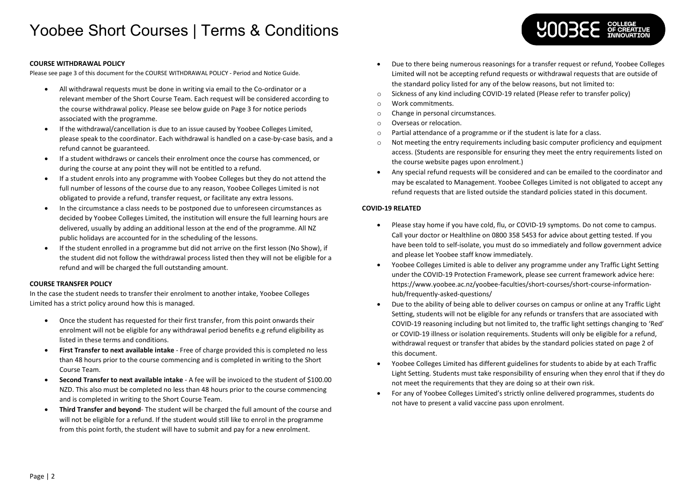

### **COURSE WITHDRAWAL POLICY**

Please see page 3 of this document for the COURSE WITHDRAWAL POLICY - Period and Notice Guide.

- All withdrawal requests must be done in writing via email to the Co-ordinator or a relevant member of the Short Course Team. Each request will be considered according to the course withdrawal policy. Please see below guide on Page 3 for notice periods associated with the programme.
- If the withdrawal/cancellation is due to an issue caused by Yoobee Colleges Limited, please speak to the coordinator. Each withdrawal is handled on a case-by-case basis, and a refund cannot be guaranteed.
- If a student withdraws or cancels their enrolment once the course has commenced, or during the course at any point they will not be entitled to a refund.
- If a student enrols into any programme with Yoobee Colleges but they do not attend the full number of lessons of the course due to any reason, Yoobee Colleges Limited is not obligated to provide a refund, transfer request, or facilitate any extra lessons.
- In the circumstance a class needs to be postponed due to unforeseen circumstances as decided by Yoobee Colleges Limited, the institution will ensure the full learning hours are delivered, usually by adding an additional lesson at the end of the programme. All NZ public holidays are accounted for in the scheduling of the lessons.
- If the student enrolled in a programme but did not arrive on the first lesson (No Show), if the student did not follow the withdrawal process listed then they will not be eligible for a refund and will be charged the full outstanding amount.

### **COURSE TRANSFER POLICY**

In the case the student needs to transfer their enrolment to another intake, Yoobee Colleges Limited has a strict policy around how this is managed.

- Once the student has requested for their first transfer, from this point onwards their enrolment will not be eligible for any withdrawal period benefits e.g refund eligibility as listed in these terms and conditions.
- **First Transfer to next available intake** Free of charge provided this is completed no less than 48 hours prior to the course commencing and is completed in writing to the Short Course Team.
- **Second Transfer to next available intake** A fee will be invoiced to the student of \$100.00 NZD. This also must be completed no less than 48 hours prior to the course commencing and is completed in writing to the Short Course Team.
- **Third Transfer and beyond** The student will be charged the full amount of the course and will not be eligible for a refund. If the student would still like to enrol in the programme from this point forth, the student will have to submit and pay for a new enrolment.
- Due to there being numerous reasonings for a transfer request or refund, Yoobee Colleges Limited will not be accepting refund requests or withdrawal requests that are outside of the standard policy listed for any of the below reasons, but not limited to:
- o Sickness of any kind including COVID-19 related (Please refer to transfer policy)
- o Work commitments.
- o Change in personal circumstances.
- o Overseas or relocation.
- o Partial attendance of a programme or if the student is late for a class.
- $\circ$  Not meeting the entry requirements including basic computer proficiency and equipment access. (Students are responsible for ensuring they meet the entry requirements listed on the course website pages upon enrolment.)
- Any special refund requests will be considered and can be emailed to the coordinator and may be escalated to Management. Yoobee Colleges Limited is not obligated to accept any refund requests that are listed outside the standard policies stated in this document.

### **COVID-19 RELATED**

- Please stay home if you have cold, flu, or COVID-19 symptoms. Do not come to campus. Call your doctor or Healthline on 0800 358 5453 for advice about getting tested. If you have been told to self-isolate, you must do so immediately and follow government advice and please let Yoobee staff know immediately.
- Yoobee Colleges Limited is able to deliver any programme under any Traffic Light Setting under the COVID-19 Protection Framework, please see current framework advice here: https://www.yoobee.ac.nz/yoobee-faculties/short-courses/short-course-informationhub/frequently-asked-questions/
- Due to the ability of being able to deliver courses on campus or online at any Traffic Light Setting, students will not be eligible for any refunds or transfers that are associated with COVID-19 reasoning including but not limited to, the traffic light settings changing to 'Red' or COVID-19 illness or isolation requirements. Students will only be eligible for a refund, withdrawal request or transfer that abides by the standard policies stated on page 2 of this document.
- Yoobee Colleges Limited has different guidelines for students to abide by at each Traffic Light Setting. Students must take responsibility of ensuring when they enrol that if they do not meet the requirements that they are doing so at their own risk.
- For any of Yoobee Colleges Limited's strictly online delivered programmes, students do not have to present a valid vaccine pass upon enrolment.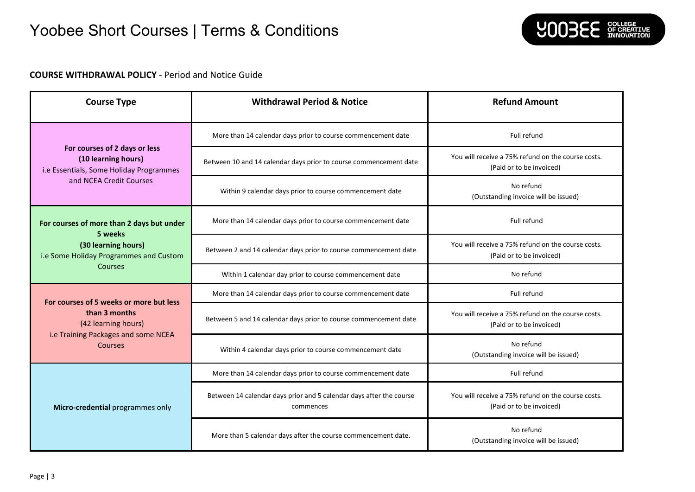

### **COURSE WITHDRAWAL POLICY** - Period and Notice Guide

| <b>Course Type</b>                                                                                                                       | <b>Withdrawal Period &amp; Notice</b>                                            | <b>Refund Amount</b>                                                           |
|------------------------------------------------------------------------------------------------------------------------------------------|----------------------------------------------------------------------------------|--------------------------------------------------------------------------------|
| For courses of 2 days or less<br>(10 learning hours)<br>i.e Essentials, Some Holiday Programmes<br>and NCEA Credit Courses               | More than 14 calendar days prior to course commencement date                     | Full refund                                                                    |
|                                                                                                                                          | Between 10 and 14 calendar days prior to course commencement date                | You will receive a 75% refund on the course costs.<br>(Paid or to be invoiced) |
|                                                                                                                                          | Within 9 calendar days prior to course commencement date                         | No refund<br>(Outstanding invoice will be issued)                              |
| For courses of more than 2 days but under<br>5 weeks<br>(30 learning hours)<br>i.e Some Holiday Programmes and Custom<br>Courses         | More than 14 calendar days prior to course commencement date                     | Full refund                                                                    |
|                                                                                                                                          | Between 2 and 14 calendar days prior to course commencement date                 | You will receive a 75% refund on the course costs.<br>(Paid or to be invoiced) |
|                                                                                                                                          | Within 1 calendar day prior to course commencement date                          | No refund                                                                      |
| For courses of 5 weeks or more but less<br>than 3 months<br>(42 learning hours)<br>i.e Training Packages and some NCEA<br><b>Courses</b> | More than 14 calendar days prior to course commencement date                     | Full refund                                                                    |
|                                                                                                                                          | Between 5 and 14 calendar days prior to course commencement date                 | You will receive a 75% refund on the course costs.<br>(Paid or to be invoiced) |
|                                                                                                                                          | Within 4 calendar days prior to course commencement date                         | No refund<br>(Outstanding invoice will be issued)                              |
| Micro-credential programmes only                                                                                                         | More than 14 calendar days prior to course commencement date                     | Full refund                                                                    |
|                                                                                                                                          | Between 14 calendar days prior and 5 calendar days after the course<br>commences | You will receive a 75% refund on the course costs.<br>(Paid or to be invoiced) |
|                                                                                                                                          | More than 5 calendar days after the course commencement date.                    | No refund<br>(Outstanding invoice will be issued)                              |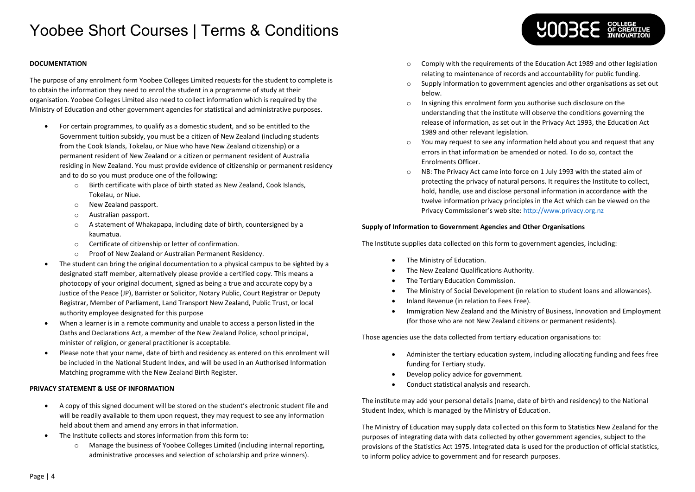### **DOCUMENTATION**

The purpose of any enrolment form Yoobee Colleges Limited requests for the student to complete is to obtain the information they need to enrol the student in a programme of study at their organisation. Yoobee Colleges Limited also need to collect information which is required by the Ministry of Education and other government agencies for statistical and administrative purposes.

- For certain programmes, to qualify as a domestic student, and so be entitled to the Government tuition subsidy, you must be a citizen of New Zealand (including students from the Cook Islands, Tokelau, or Niue who have New Zealand citizenship) or a permanent resident of New Zealand or a citizen or permanent resident of Australia residing in New Zealand. You must provide evidence of citizenship or permanent residency and to do so you must produce one of the following:
	- o Birth certificate with place of birth stated as New Zealand, Cook Islands, Tokelau, or Niue.
	- o New Zealand passport.
	- o Australian passport.
	- o A statement of Whakapapa, including date of birth, countersigned by a kaumatua.
	- o Certificate of citizenship or letter of confirmation.
	- o Proof of New Zealand or Australian Permanent Residency.
- The student can bring the original documentation to a physical campus to be sighted by a designated staff member, alternatively please provide a certified copy. This means a photocopy of your original document, signed as being a true and accurate copy by a Justice of the Peace (JP), Barrister or Solicitor, Notary Public, Court Registrar or Deputy Registrar, Member of Parliament, Land Transport New Zealand, Public Trust, or local authority employee designated for this purpose
- When a learner is in a remote community and unable to access a person listed in the Oaths and Declarations Act, a member of the New Zealand Police, school principal, minister of religion, or general practitioner is acceptable.
- Please note that your name, date of birth and residency as entered on this enrolment will be included in the National Student Index, and will be used in an Authorised Information Matching programme with the New Zealand Birth Register.

### **PRIVACY STATEMENT & USE OF INFORMATION**

- A copy of this signed document will be stored on the student's electronic student file and will be readily available to them upon request, they may request to see any information held about them and amend any errors in that information.
- The Institute collects and stores information from this form to:
	- o Manage the business of Yoobee Colleges Limited (including internal reporting, administrative processes and selection of scholarship and prize winners).

o Comply with the requirements of the Education Act 1989 and other legislation relating to maintenance of records and accountability for public funding.

**YOOBEE** SECREATIVE

- o Supply information to government agencies and other organisations as set out below.
- o In signing this enrolment form you authorise such disclosure on the understanding that the institute will observe the conditions governing the release of information, as set out in the Privacy Act 1993, the Education Act 1989 and other relevant legislation.
- o You may request to see any information held about you and request that any errors in that information be amended or noted. To do so, contact the Enrolments Officer.
- o NB: The Privacy Act came into force on 1 July 1993 with the stated aim of protecting the privacy of natural persons. It requires the Institute to collect, hold, handle, use and disclose personal information in accordance with the twelve information privacy principles in the Act which can be viewed on the Privacy Commissioner's web site: [http://www.privacy.org.nz](http://www.privacy.org.nz/)

### **Supply of Information to Government Agencies and Other Organisations**

The Institute supplies data collected on this form to government agencies, including:

- The Ministry of Education.
- The New Zealand Qualifications Authority.
- The Tertiary Education Commission.
- The Ministry of Social Development (in relation to student loans and allowances).
- Inland Revenue (in relation to Fees Free).
- Immigration New Zealand and the Ministry of Business, Innovation and Employment (for those who are not New Zealand citizens or permanent residents).

Those agencies use the data collected from tertiary education organisations to:

- Administer the tertiary education system, including allocating funding and fees free funding for Tertiary study.
- Develop policy advice for government.
- Conduct statistical analysis and research.

The institute may add your personal details (name, date of birth and residency) to the National Student Index, which is managed by the Ministry of Education.

The Ministry of Education may supply data collected on this form to Statistics New Zealand for the purposes of integrating data with data collected by other government agencies, subject to the provisions of the Statistics Act 1975. Integrated data is used for the production of official statistics, to inform policy advice to government and for research purposes.